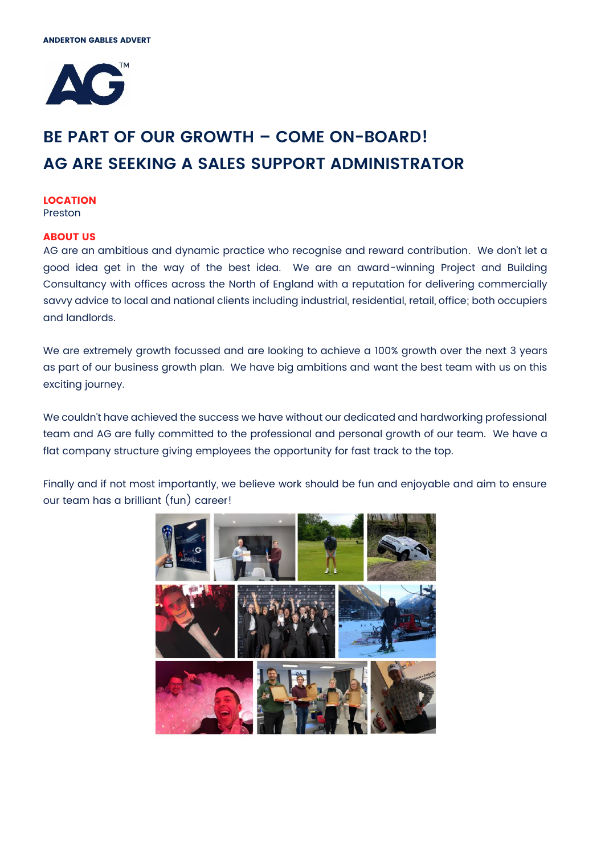

# **BE PART OF OUR GROWTH – COME ON-BOARD! AG ARE SEEKING A SALES SUPPORT ADMINISTRATOR**

#### **LOCATION** Preston

# **ABOUT US**

AG are an ambitious and dynamic practice who recognise and reward contribution. We don't let a good idea get in the way of the best idea. We are an award-winning Project and Building Consultancy with offices across the North of England with a reputation for delivering commercially savvy advice to local and national clients including industrial, residential, retail, office; both occupiers and landlords.

We are extremely growth focussed and are looking to achieve a 100% growth over the next 3 years as part of our business growth plan. We have big ambitions and want the best team with us on this exciting journey.

We couldn't have achieved the success we have without our dedicated and hardworking professional team and AG are fully committed to the professional and personal growth of our team. We have a flat company structure giving employees the opportunity for fast track to the top.

Finally and if not most importantly, we believe work should be fun and enjoyable and aim to ensure our team has a brilliant (fun) career!

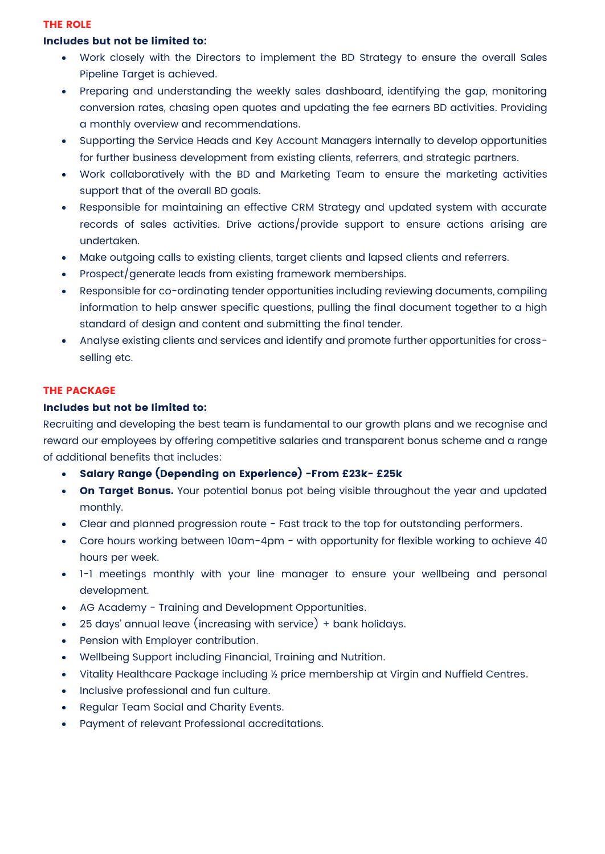#### **THE ROLE**

# **Includes but not be limited to:**

- Work closely with the Directors to implement the BD Strategy to ensure the overall Sales Pipeline Target is achieved.
- Preparing and understanding the weekly sales dashboard, identifying the gap, monitoring conversion rates, chasing open quotes and updating the fee earners BD activities. Providing a monthly overview and recommendations.
- Supporting the Service Heads and Key Account Managers internally to develop opportunities for further business development from existing clients, referrers, and strategic partners.
- Work collaboratively with the BD and Marketing Team to ensure the marketing activities support that of the overall BD goals.
- Responsible for maintaining an effective CRM Strategy and updated system with accurate records of sales activities. Drive actions/provide support to ensure actions arising are undertaken.
- Make outgoing calls to existing clients, target clients and lapsed clients and referrers.
- Prospect/generate leads from existing framework memberships.
- Responsible for co-ordinating tender opportunities including reviewing documents, compiling information to help answer specific questions, pulling the final document together to a high standard of design and content and submitting the final tender.
- Analyse existing clients and services and identify and promote further opportunities for crossselling etc.

# **THE PACKAGE**

# **Includes but not be limited to:**

Recruiting and developing the best team is fundamental to our growth plans and we recognise and reward our employees by offering competitive salaries and transparent bonus scheme and a range of additional benefits that includes:

- **Salary Range (Depending on Experience) -From £23k- £25k**
- **On Target Bonus.** Your potential bonus pot being visible throughout the year and updated monthly.
- Clear and planned progression route Fast track to the top for outstanding performers.
- Core hours working between 10am-4pm with opportunity for flexible working to achieve 40 hours per week.
- 1-1 meetings monthly with your line manager to ensure your wellbeing and personal development.
- AG Academy Training and Development Opportunities.
- 25 days' annual leave (increasing with service) + bank holidays.
- Pension with Employer contribution.
- Wellbeing Support including Financial, Training and Nutrition.
- Vitality Healthcare Package including ½ price membership at Virgin and Nuffield Centres.
- Inclusive professional and fun culture.
- Regular Team Social and Charity Events.
- Payment of relevant Professional accreditations.